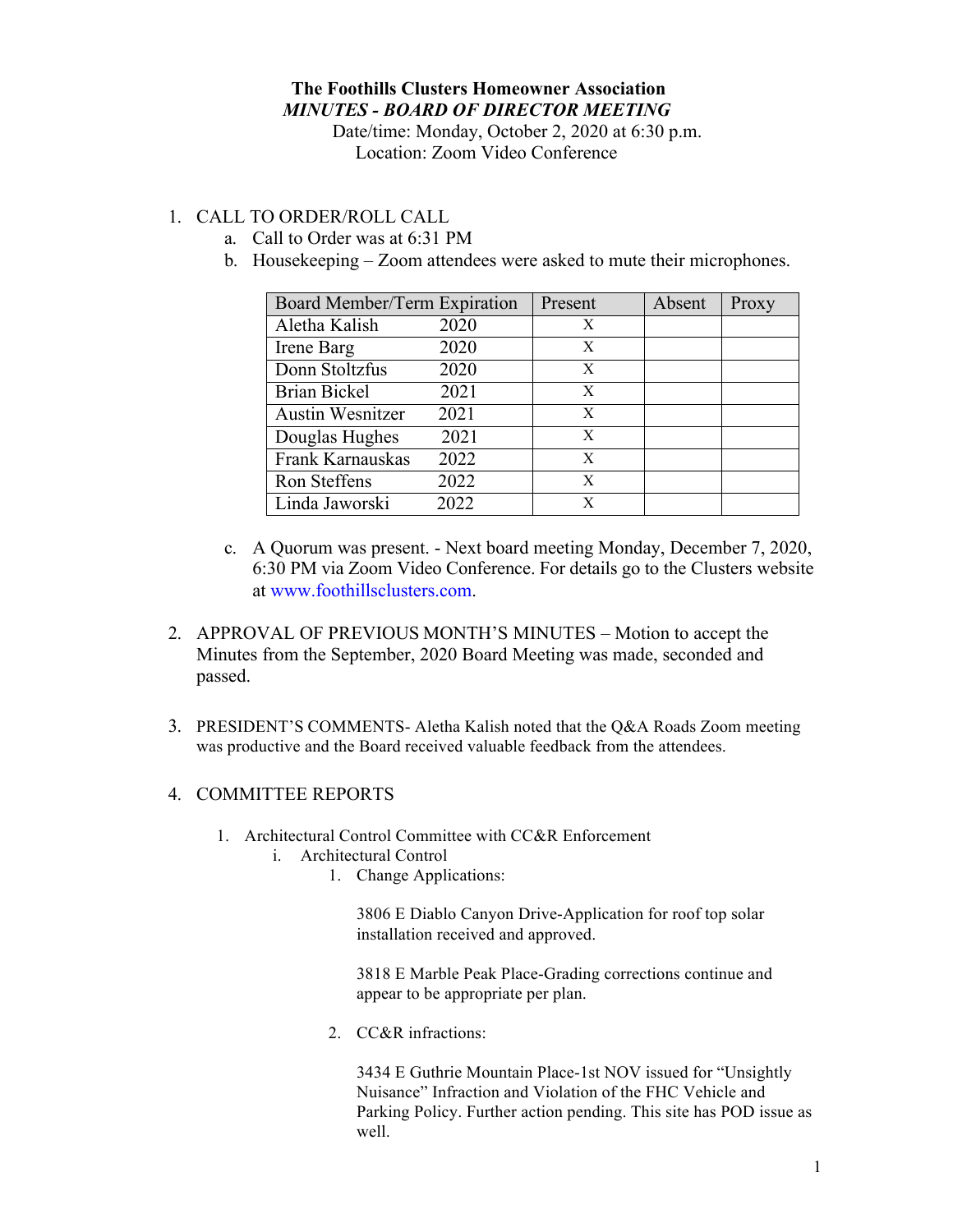## **The Foothills Clusters Homeowner Association** *MINUTES - BOARD OF DIRECTOR MEETING*

Date/time: Monday, October 2, 2020 at 6:30 p.m. Location: Zoom Video Conference

## 1. CALL TO ORDER/ROLL CALL

- a. Call to Order was at 6:31 PM
- b. Housekeeping Zoom attendees were asked to mute their microphones.

| Board Member/Term Expiration |      | Present | Absent | Proxy |
|------------------------------|------|---------|--------|-------|
| Aletha Kalish                | 2020 | X       |        |       |
| Irene Barg                   | 2020 | X       |        |       |
| Donn Stoltzfus               | 2020 | X       |        |       |
| <b>Brian Bickel</b>          | 2021 | X       |        |       |
| <b>Austin Wesnitzer</b>      | 2021 | X       |        |       |
| Douglas Hughes               | 2021 | X       |        |       |
| Frank Karnauskas             | 2022 | X       |        |       |
| Ron Steffens                 | 2022 | X       |        |       |
| Linda Jaworski               | 2022 | X       |        |       |

- c. A Quorum was present. Next board meeting Monday, December 7, 2020, 6:30 PM via Zoom Video Conference. For details go to the Clusters website at www.foothillsclusters.com.
- 2. APPROVAL OF PREVIOUS MONTH'S MINUTES Motion to accept the Minutes from the September, 2020 Board Meeting was made, seconded and passed.
- 3. PRESIDENT'S COMMENTS- Aletha Kalish noted that the Q&A Roads Zoom meeting was productive and the Board received valuable feedback from the attendees.

## 4. COMMITTEE REPORTS

- 1. Architectural Control Committee with CC&R Enforcement
	- i. Architectural Control
		- 1. Change Applications:

3806 E Diablo Canyon Drive-Application for roof top solar installation received and approved.

3818 E Marble Peak Place-Grading corrections continue and appear to be appropriate per plan.

2. CC&R infractions:

3434 E Guthrie Mountain Place-1st NOV issued for "Unsightly Nuisance" Infraction and Violation of the FHC Vehicle and Parking Policy. Further action pending. This site has POD issue as well.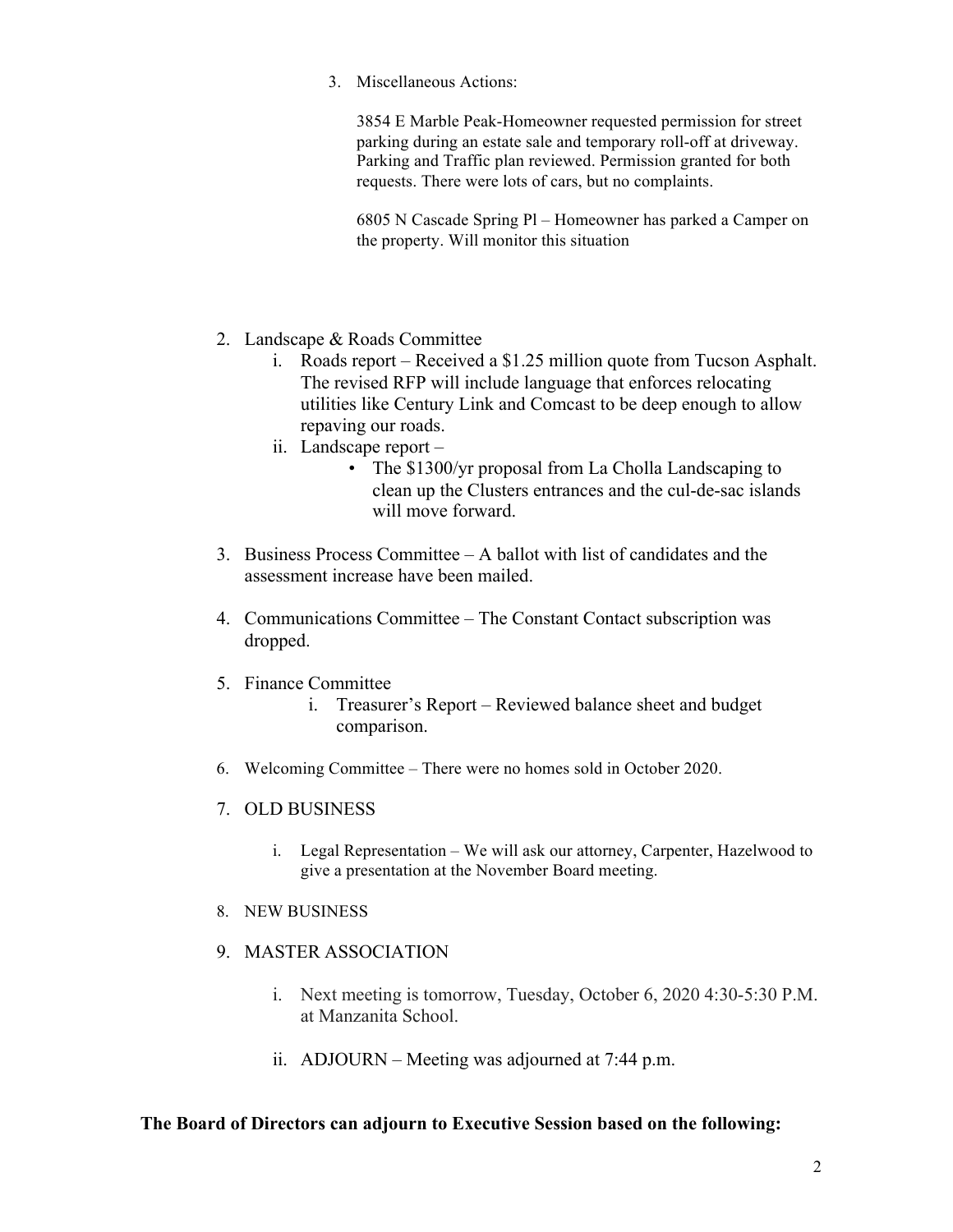3. Miscellaneous Actions:

3854 E Marble Peak-Homeowner requested permission for street parking during an estate sale and temporary roll-off at driveway. Parking and Traffic plan reviewed. Permission granted for both requests. There were lots of cars, but no complaints.

6805 N Cascade Spring Pl – Homeowner has parked a Camper on the property. Will monitor this situation

- 2. Landscape & Roads Committee
	- i. Roads report Received a \$1.25 million quote from Tucson Asphalt. The revised RFP will include language that enforces relocating utilities like Century Link and Comcast to be deep enough to allow repaving our roads.
	- ii. Landscape report
		- The \$1300/yr proposal from La Cholla Landscaping to clean up the Clusters entrances and the cul-de-sac islands will move forward.
- 3. Business Process Committee A ballot with list of candidates and the assessment increase have been mailed.
- 4. Communications Committee The Constant Contact subscription was dropped.
- 5. Finance Committee
	- i. Treasurer's Report Reviewed balance sheet and budget comparison.
- 6. Welcoming Committee There were no homes sold in October 2020.
- 7. OLD BUSINESS
	- i. Legal Representation We will ask our attorney, Carpenter, Hazelwood to give a presentation at the November Board meeting.
- 8. NEW BUSINESS
- 9. MASTER ASSOCIATION
	- i. Next meeting is tomorrow, Tuesday, October 6, 2020 4:30-5:30 P.M. at Manzanita School.
	- ii. ADJOURN Meeting was adjourned at 7:44 p.m.

## **The Board of Directors can adjourn to Executive Session based on the following:**